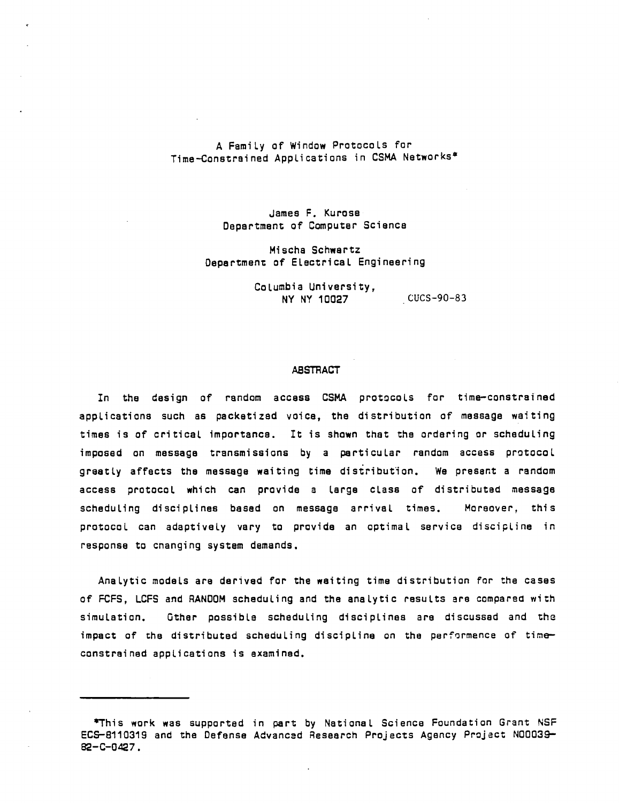## A Family of Window Protocols for Time-Constrained Applications in CSMA Networks·

James F. Kurose Department of Computer Science

Mischa Schwartz Department of Electrical Engineering

> Columbia University, NY NY 10027 CUCS-90-83

#### ABSTRACT

In the design of random access CSMA protocols for time-constrained applications such as packetized voice, the distribution of message waiting times is of critical importance. It is shown that the ordering or scheduling imposed on message transmissions by a particular random access protocol greatly affects the message waiting time distribution. We present a random access protocol which can provide a large class of distributed message scheduling disciplines based on message arrival times. Moreover, this protocol can adaptively vary to provide an optimal service discipline in response to cnanging system demands.

Analytic models are derived for the waiting time distribution for the cases of FCFS, LCFS and RANDOM scheduling and the analytic results are compared with simulation. Other possible scheduling disciplines are discussed and the impact of the distributed scheduling discipline on the performence of timeconstrained applications is examined.

<sup>\*</sup>This work was supported in part by National Science Foundation Grant NSF EC5-S110319 and the Defense Acvancad Research Projects Agency Project N00039- 82-C-0427.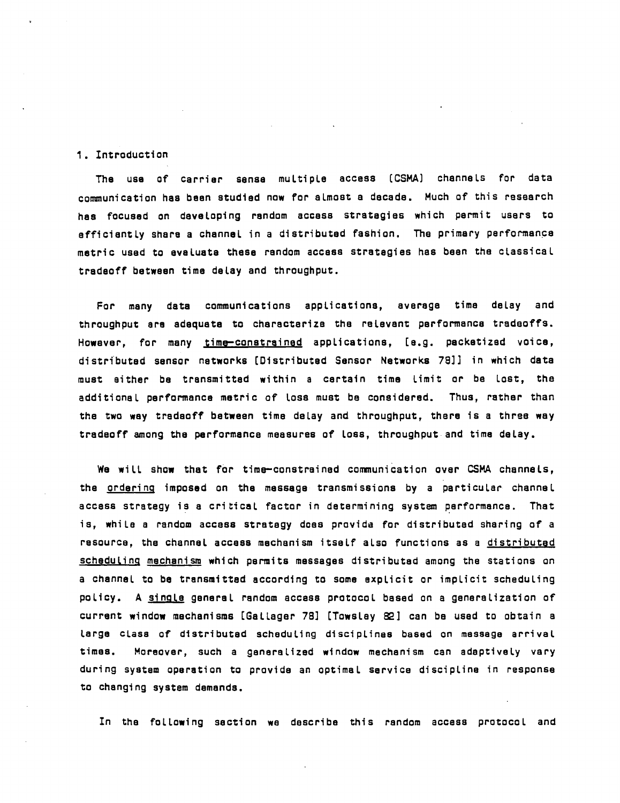### 1. Introduction

The usa of carrier sense multiple access (CSMAl chennels for data communication has been studied now for aLmost a decade. Much of this research has focused on developing random access strategies which permit users to efficiently share a channel in a distributed fashion. The primary performance metric used to evaluate these rendom access stratagies has been the classicaL tradaoff between time delay and throughput.

For many data communications applications, average time delay and throughput are adequata to charecterize the relevant parformanca trsdeoffs. Howaver, for many time-constrained applications, [e.g. packetized voice, distributed sensor networks [Distributed Sensor Networks 78]] in which data must either be transmitted within a cartain time Limit or be Lost, the additional performance metric of loss must be considered. Thus, rather than the two way tradeoff between time delay and throughput, there is a three way tradeoff among the performance measures of loss, throughput and time delay.

We will show that for time-constrained communication over CSMA channels, the ordering imposed on the message transmissions by a particular channel accass strategy is a critical factor in determining system performanca. That is, while a random access strategy does provide for distributed sharing of a resource, the channel access mechanism itself also functions as a distributed scheduling mechanism which permits messages distributed among the stations on a channel to be transmitted according to some explicit or implicit scheduling policy. A single general random access protocol based on a generalization of current window mechanisms [Galleger 78] [TowsLay 82] can be used to obtain a large class of distributed scheduling disciplines based on messaga arrival times. Moreover, such a ganeralized window mechanism can adaptively vary during system operation to provide an optimaL service discipline in response to changing system demands.

In the folLowing section we describa this random access protocol and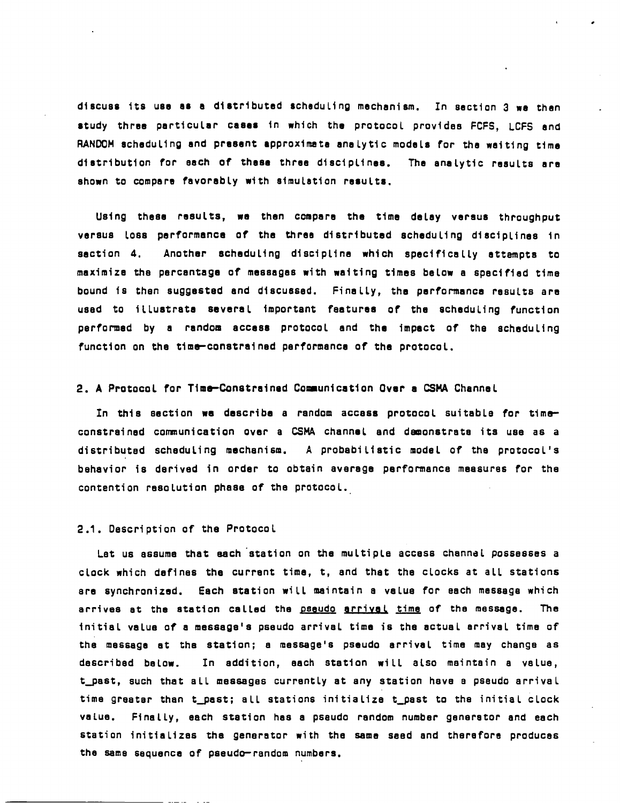discuss its use as a distributed scheduling mechanism. In section 3 we then study three particular cases in which the protocol provides FCFS, LCFS and RANDOM scheduling and present approximate analytic models for the waiting time distribution for each of these three disciplines. The analytic results are shown to compare favorably with simulation results.

Using these results, we then compare the time delay versus throughput versus loss performance of the three distributed scheduling disciplines in saction 4. Another scheduling discipline which specifically attempts to maximize the percentage of messages with waiting times below a specified time bound is then suggested and discussed. Finally, the performance results are used to illustrate several important features of the scheduling function performed by a random access protocol and the impact of the scheduling function on the time-constrained performance of the protocol.

#### 2. A Protocol for Time-Constrained Communication Over a CSMA Channel

In this section we describe a random access protocol suitable for timeconstrained communication over a CSMA channel and demonstrate its use as a distributed scheduling mechanism. A probabilistic model of the protocol's behavior is derived in order to obtain average performance measures for the contention resolution phase of the protocol.

#### 2.1. Description of the Protocol

Let us assume that each station on the multiple access channal possesses a clock which defines the current time, t, and that the clocks at all stations are synchronized. Each station will maintain a value for each message which arrives at the station called the pseudo arrival time of the message. The initial value of a message's pseudo arrival time is the actual arrival time of the message at the station; a message's pseudo arrival time may change as In addition, each station will also maintain a value, described below. t\_past, such that all messages currently at any station have a pseudo arrival time greater than t past; all stations initialize t past to the initial clock Finally, each station has a pseudo random number generator and each value. station initializes the generator with the same seed and therefore produces the same sequence of pseudo-random numbers.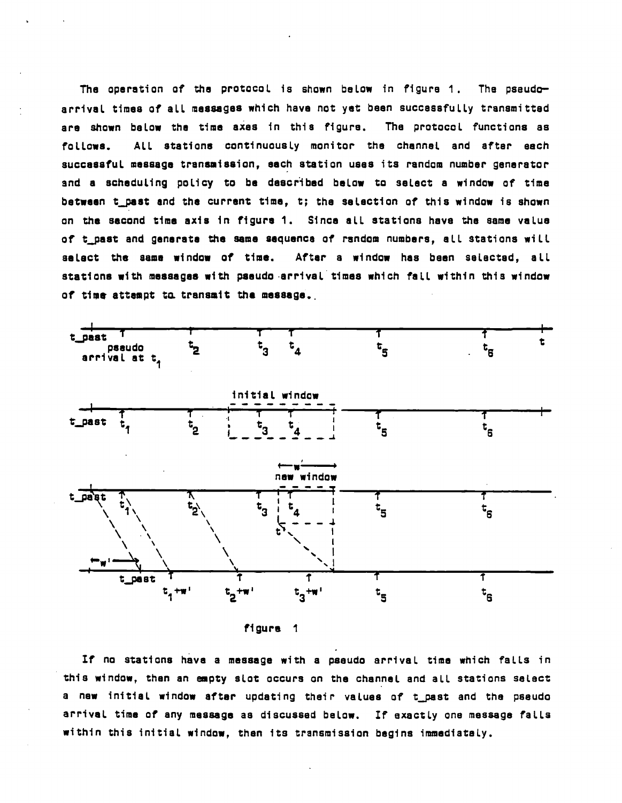The operation of the protocol is shown below in figure 1. The pseudoarrival times of all massages which have not yet been successfully transmitted are shown balow the time axes in this figure. The protocol functions as All stations continuously monitor the channel and after each fallows. successful message transmission, each station uses its random number generator and a scheduling policy to be described below to select a window of time between t\_past and the current time, t; the selection of this window is shown on the second time axis in figure 1. Since all stations have the same value of t\_past and generate the same sequence of random numbers, all stations will select the same window of time. After a window has been selected, all stations with messages with pseudo arrival times which fall within this window of time attempt to transmit the message.



figure 1

If no stations have a message with a pseudo arrival time which falls in this window, then an empty slot occurs on the channel and all stations select a new initial window after updating their values of t\_past and the pseudo arrival time of any message as discussed below. If exactly one message falls within this initial window, then its transmission begins immediataly.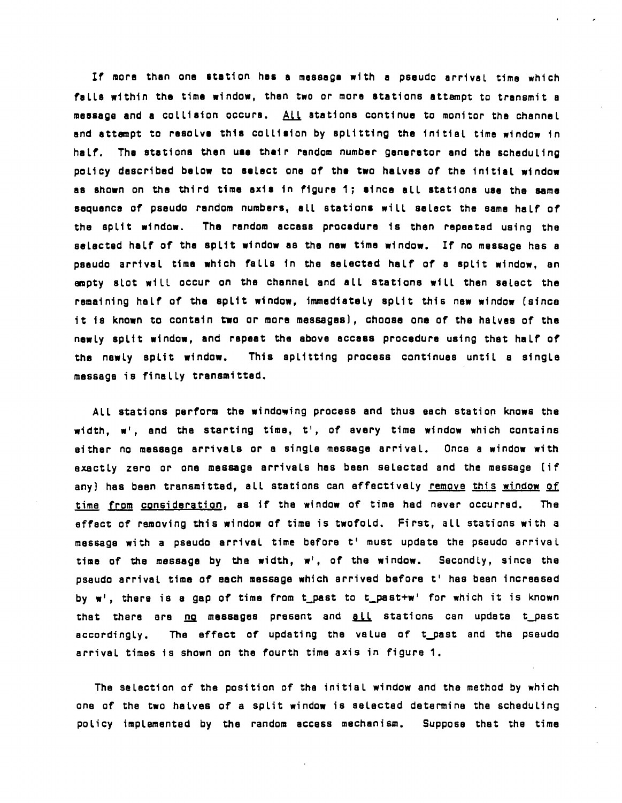If more than one station has a message with a pseudo arrival time which falls within the time window, then two or more stations attempt to transmit a message and a collision occurs. All stations continue to monitor tha channel and attempt to resolve this collision by splitting the initial time window in half. The stations then use their random number generator and the scheduling policy described below to select one of the two halves of the initial window as shown on the third time axis in figure 1; since all stations use the same sequence of pseudo random numbers, all stations will select the same half of the split window. The random accass procedure is then repeated using the selected half of the split window as the new time window. If no message has a psaudo arrival time which falls in the selected half of a split window, an empty slot will occur on the channel and all stations will then select the remaining half of the split window, immediately split this new window (since it is known to contain two or more me868ges), choose one of' tha halves of the newly split window, and repeat the above access procedure using that half' of the newly split window. This splitting process continues until a singLe message is finally transmitted.

All stations perform the windowing process and thus each station knows the width, w', and the starting time, t', of avery time window which contains either no message arrivals or a single message arrival. Once a window with exactly zero or one message arrivals has been selected and the message (if any) has been transmitted, all stations can effectively remove this window of time from consideration, as if the window of time had never occurred. The effect of removing this window of time is twofold. First, all stations with a message with a pseudo arrival time before t' must update the pseudo arrival time of the message by the width, w', of the window. Secondly, since the pseudo arrival time of each message which arrived before t' has been increased by w', there is a gap of time from t\_past to t\_past+w' for which it is known that there are no messages present and all stations can update t\_past accordingly. The effect of updating the value of t-past and the pseudo arrival times is shown on the fourth time axis in figure 1.

The selection of the position of the initial window and the method by which one of the two halves of a spLit window is selected determine the scheduling poLicy implemented by the random access mechanism. Suppose that the time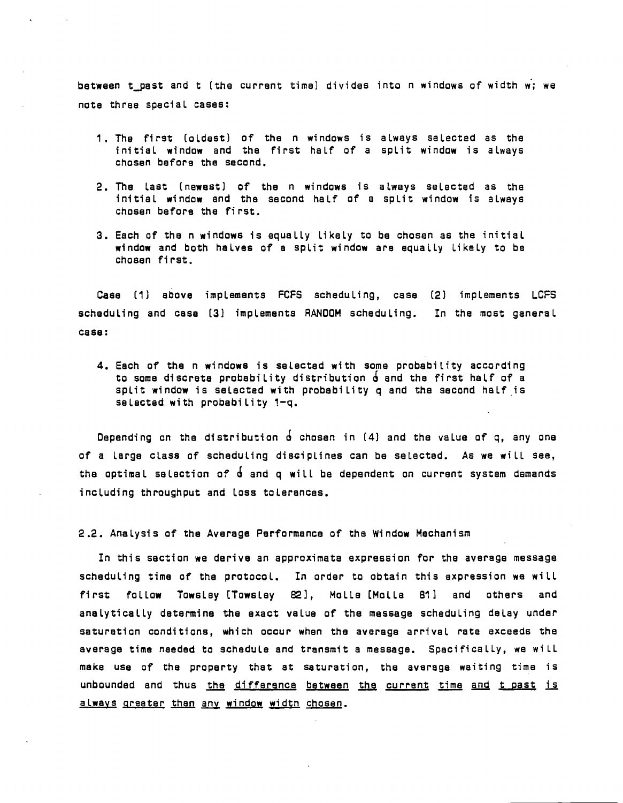between t-past and t (the current time) divides into n windows of width w; we note three special cases:

- 1. The first (oldest) of the n windows is always selected as the initial window and the first half of a split window is always chosen before the second.
- 2. The last (newest) of the n windows is always selected as the initial window and the second half of a split window is always chosen before the first.
- 3. Each of the n windows is equally likely to be chosen as the initial window and both halves of a split window are equally likely to be chosen fi rst.

Case (1] above implements FCFS scheduling, case (2] implements LCFS scheduling and case (3] implements RANDOM scheduling. In the most general case:

4. Each of the n windows is selected with some probability according to some discrete probability distribution  $\delta$  and the first half of a split window is selected with probability  $q$  and the second half is selacted with probability 1-q.

Depending on the distribution  $\acute{\text{o}}$  chosen in (4) and the value of q, any one of a large class of scheduling disciplines can be selected. As we will see, the optimal selection of  $\dot{\theta}$  and q will be dependent on current system demands including throughput and loss tolerances.

2.2. Analysis of the Average Performance of the Window Mechanism

In this section we derive an approximate expression for the averege message scheduling time of the protocol. In order to obtain this expression we will first follow Towsley [Towsley 82], Molle [Molle 81] and others and analytically determine the exact velue of the message scheduling delay under seturation conditions, which occur when the average arrival rate exceeds the average time needed to schedule and transmit a message. Specifically, we will make use of the property that at saturation, the average waiting time is unbounded and thus the difference between the current time and t past is always greater than any window width chosen.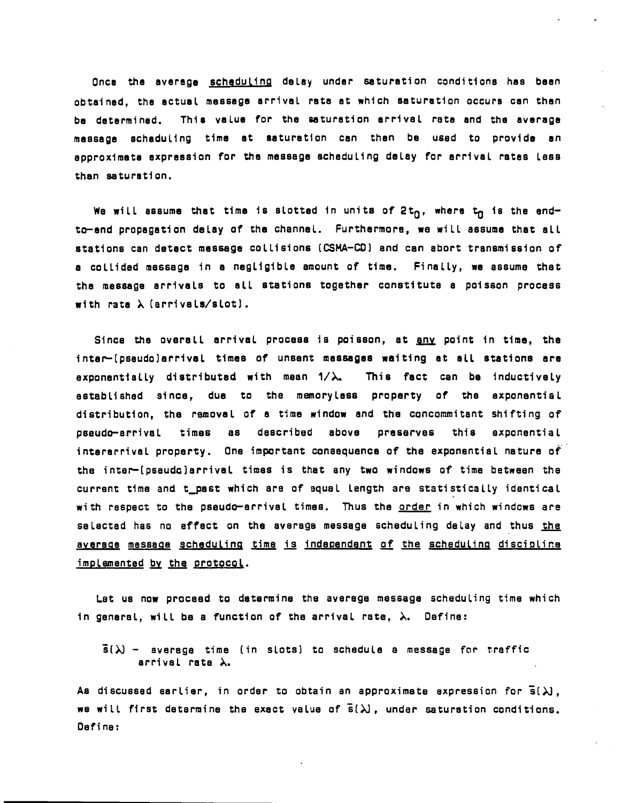Once the average scheduling delay under saturation conditions has been obtained, the actual message arrival rate at which saturation occurs can then be determined. This value for the saturation arrival rate and the average message scheduling time at saturation can then be used to provide an approximate expression for the message scheduling delay for arrival retes less than saturation.

We will assume that time is slotted in units of  $2t<sub>n</sub>$ , where  $t<sub>n</sub>$  is the endto-end propagation delay of the channel. Furthermore, we will sssume that all stations can detect message colliSions (CSMA-CO] and can abort transmission of a collided message in a negligible amount of time. Finally, we assume that the message arrivals to all stations together constitute a poisson process with rata  $\lambda$  (arrivals/slot).

Since the overall arrival process is poisson, at any point in time, the inter-(pseudo)arrival times of unsent messages waiting at all stations are exponentially distributed with mean  $1/\lambda$ . This fact can be inductively established Since, due to the memory less property of the exponential distribution, the removal of a time window and the concommitant shifting of pseudo-arrival times as dascribed above preserves this exponential interarrival property. One important consequence of the exponential nature of the inter-(pseudo)arrival times is that any two windows of time between the current time and t\_past which are of equal length are statistically identical with respect to the pseudo-arrival times. Thus the <u>order</u> in which windows are selected has no effect on the average message scheduling delay and thus the average message scheduling time is independent of the scheduling discipline implemented by the protocol.

Let us now proceed to determine the averege message scheduling time which in general, will be a function of the arrival rate,  $\lambda$ . Define:

 $\bar{s}(\lambda)$  - average time (in slots) to schedule a message for traffic arrival rate  $\lambda$ .

As discussed earlier, in order to obtain an approximate expression for  $\overline{s}(\lambda)$ , we will first determine the exact value of  $\overline{s}(\lambda)$ , under saturation conditions. Define: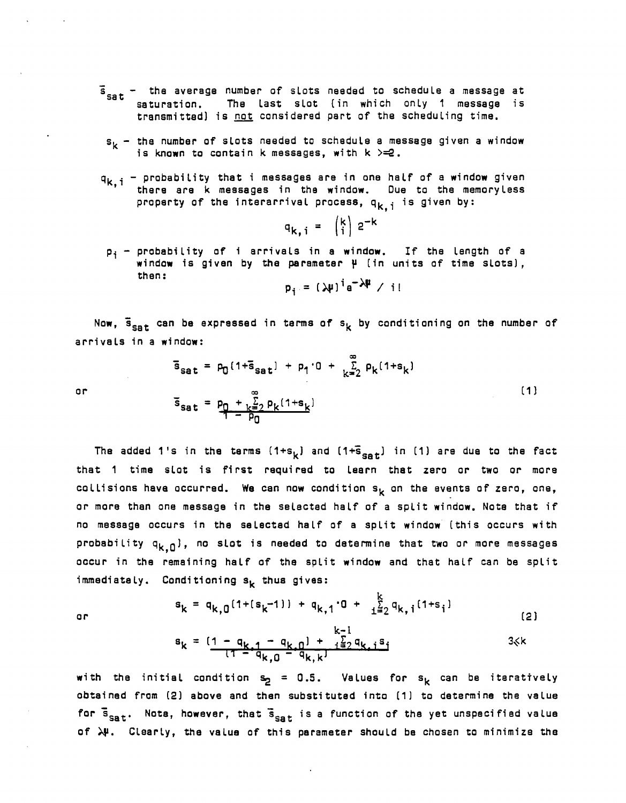- $\overline{s}_{\text{sat}}$  the average number of slots needed to schedule a message at saturation. The last slot (in which only 1 message is transmitted) is not considered part of the scheduling time.
	- $s_k$  the number of slots needed to schedule a message given a window is known to contain k messages, with  $k > = 2$ .
- $q_{k,i}$  probability that i messages are in one half of a window given there are k messages in the window. Due to the memory less property of the interarrival process,  $q_{k,i}$  is given by:

$$
q_{k,i} = \begin{pmatrix} k \\ i \end{pmatrix} 2^{-k}
$$

 $p_i$  - probability of i arrivals in a window. If the length of a window is given by the paremeter  $\mu$  (in units of time slots), then:

$$
p_i = (\lambda \mu)^i e^{-\lambda \mu} / i!
$$

communications

 $(1)$ 

Now,  $\bar{s}_{\texttt{cat}}$  can be expressed in terms of  $s_k$  by conditioning on the number of arrivals in a window:

$$
s_{sat} = p_0 [1 + s_{sat}] + p_1 \cdot 0 + \sum_{k=2}^{\infty} p_k [1 + s_k]
$$
  
or  

$$
\bar{s}_{sat} = p_0 + \sum_{k=2}^{\infty} p_k [1 + s_k]
$$

 $\sim$   $\sim$   $\sim$ 

The added 1's in the terms  $(1+s_k)$  and  $(1+\bar{s}_{sat})$  in (1) are due to the fact that 1 time slot is first required to learn that zero or two or more collisions have occurred. We can now condition  $s_k$  on the events of zero, one, or more than one message in the selected half of a split window. Note that if no message occurs in the selected half of a split window (this occurs with probability  $q_{k,0}$ ), no slot is needed to determine that two or more messages occur in the remaining half of the split window and that half can be split  $immediately.$  Conditioning  $s_k$  thus gives:

or

$$
s_{k} = q_{k,0}(1+(s_{k}-1)) + q_{k,1} \cdot 0 + \frac{k}{1\pm 2} q_{k,1}(1+s_{1})
$$
\n
$$
s_{k} = \frac{(1-q_{k,1}-q_{k,0}) + \frac{k-1}{1\pm 2} q_{k,1}s_{1}}{(1-q_{k,0}-q_{k,k})}
$$
\n(2)

with the initial condition  $s_p = 0.5$ . Values for  $s_k$  can be iteratively obtained from (2] above and then substituted into (1) to determine the value for  $\bar{s}_{\mathtt{sat}}$ . Note, however, that  $\bar{s}_{\mathtt{sat}}$  is a function of the yet unspecified value of  $\lambda\mu$ . Clearly, the value of this parameter should be chosen to minimize the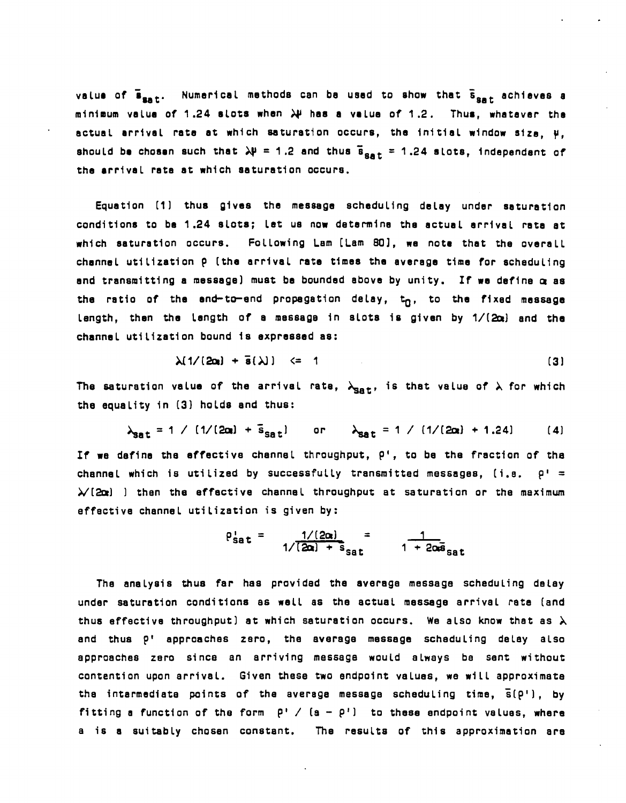value of  $\bar{B}_{\text{sat}}$ . Numerical methods can be used to show that  $\bar{B}_{\text{sat}}$  achieves a minimum value of 1.24 slots when  $\lambda^{\mu}$  has a velue of 1.2. Thus, whatever the actual arrival rate at which saturation occurs, the initial window size,  $\mu$ , should be chosen such that  $\lambda$  = 1.2 and thus  $\bar{s}_{\text{sat}}$  = 1.24 slots, independent of the arrival rate at which saturation occurs.

Equation (1) thus gives the message scheduling delay under saturation conditions to be 1.24 slots; let ua now determina the actuel errival rate at which saturation occurs. FoLLowing Lam [Lam SO], we note thet the overall chennel utilization p (the errival rate times the average time for scheduling and transmitting a message) must be bounded abova by unity. If wa define a as the ratio of the and-to-end propagation delay,  $t_n$ , to the fixed message length, then the length of a message in slots is given by  $1/(2\alpha)$  and the channel utilization bound is axpressed 8S:

$$
\lambda[1/[2\alpha] + \bar{s}(\lambda)] \leq 1 \tag{3}
$$

The saturation value of the arrival rate,  $\lambda_{\mathtt{Sat}}$ , is that value of  $\lambda$  for which the equality in (3) holds and thus:

$$
\lambda_{\text{Sat}} = 1 / [1/(2\alpha) + \bar{s}_{\text{Sat}}] \quad \text{or} \quad \lambda_{\text{Sat}} = 1 / [1/(2\alpha) + 1.24] \quad (4)
$$

If we define the effective channel throughput, P', to be the fraction of the channel which is utilized by successfully transmitted messages,  $(i.e. p! =$  $\lambda$  (2x) ) then the effective channel throughput at saturation or the maximum effective channel utilization is given by:

$$
p_{\text{sat}}' = \frac{1/(2\alpha)}{1/(2\alpha) + s_{\text{sat}}} = \frac{1}{1 + 2\alpha\bar{s}_{\text{sat}}}
$$

The analysis thus far has provided the average message scheduling dalay under saturation conditions as weLL as the actual message arrival rate (and thus effective throughput) at which saturation occurs. We also know that as  $\lambda$ end thus pi approaches zero, the averege messege scheduling delay also epproaches zaro since an arriving message would alweys be sent without contention upon arrival. Given these two andpoint values, we will approximate the intermediate points of the average message scheduling time,  $\bar{s}(\rho^{\dagger})$ , by fitting a function of the form  $P'$  /  $(a - P')$  to these endpoint values, where a is a suitably chosen constant. The results of this approximation are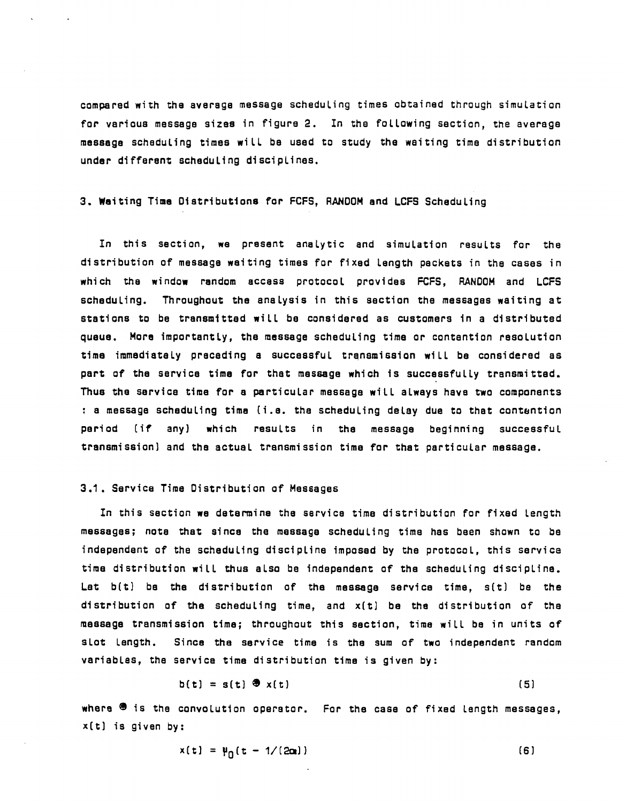compared with the average message scheduling times obtained through simulation for various message sizee in figure 2. In the following section, the average message scheduling times will be used to study the waiting time distribution under different scheduling disciplines.

3. Waiting Time Distributions for FCFS, RANDOM and LCFS Scheduling

In this section, we present analytic and simulation results for the distribution of message weiting times for fixed length packets in the cases in which the window random eccess protocol provides FCFS, RANDOM and LCFS scheduling. Throughout the enalysis in this section the messages waiting at stations to be transmitted will be considered as customers in a distributed queue. More importantly, the message scheduling time or contention resolution time immediately preceding a successful transmission will be considered as part of the service time for that message which is successfully transmitted. Thus the service time for a particular messege will always have two components : a message scheduling tima (i.e. the scheduling delay due to that contention period (if any) which results in the message beginning successful transmission) and the actual trensmission time for that perticular message.

#### 3.1. Service Time Distribution of Messages

In this section we determine the service time distribution for fixed length messages; note that since the message scheduling time has been shown to be independent of the scheduling discipline imposed by the protocol, this service time distribution will thus also be independent of the scheduling discipline. Let  $b(t)$  be the distribution of the message service time,  $s(t)$  be the distribution of the scheduling time, and x(t) be the distribution of the message trensmission time; throughout this section, time will be in units of slot length. Since the service time is the sum of two independent random variables, the service time distribution time is given by:

$$
b(t) = s(t) \cdot \Phi \times (t)
$$
 (5)

where  $\mathbf{\Phi}$  is the convolution operator. For the case of fixed length messages, x(t) is given by:

$$
x(t) = \mu_0(t - 1/(2\alpha))
$$
 (6)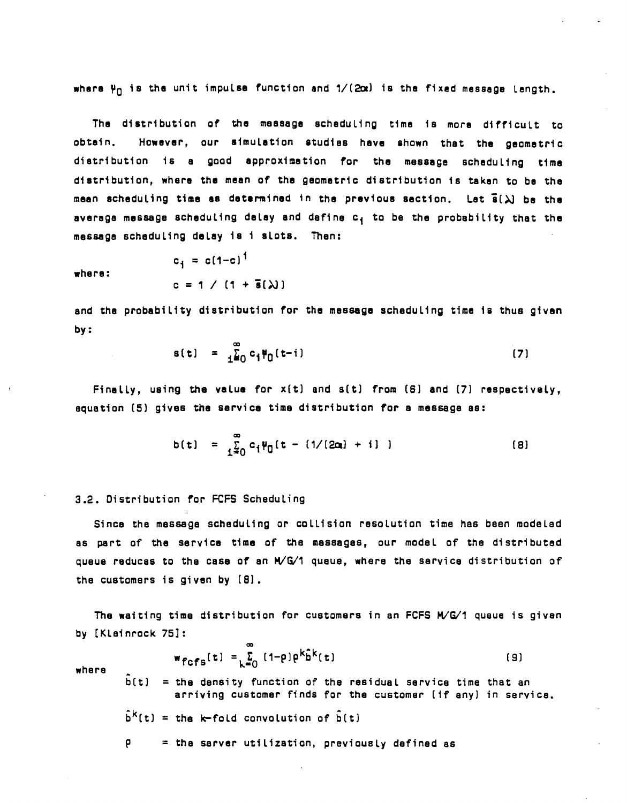where  $\Psi_{\Pi}$  is the unit impulse function and  $1/(2\alpha)$  is the fixed message length.

The distribution of the message scheduling time is more difficult to obtain. However, our simulation studies have shown that the geometric distribution is a good approximation for the message scheduling time distribution, where the mean of the geometric distribution is taken to be the mean scheduling time as determined in the previous section. Let  $\bar{\mathbf{s}}(\lambda)$  be the average message scheduling delay and define  $c_4$  to be the probability that the message scheduLing deLay is i slots. Then:

where:

$$
c_1 = c(1-c)^1
$$
  
 $c = 1 / (1 + \bar{s}(\lambda))$ 

end the probability distribution for the message scheduLing time is thus given by:

$$
s(t) = \frac{2}{120} c_1 \Psi_0(t-i)
$$
 (7)

Finally, using the value for  $x(t)$  and  $s(t)$  from  $(6)$  and  $(7)$  respectively, equation (S) gives the service time distribution for a message as:

$$
b(t) = \sum_{i=0}^{\infty} c_i \psi_0(t - (1/(2\alpha) + i))
$$
 (8)

#### 3.2. Distribution for FCFS Scheduling

Since the message scheduling or colLision resolution time has been modeled as part of the service time of the massages, our model of the distributed queue reduces to the case of an H/G/1 queue, where the service distribution of the customers is given by (8).

The waiting time distribution for customers in an FCFS  $M/G/1$  queue is given by (Klainrock 7S]:

$$
\mathbf{w}_{\text{fcfs}}(\mathbf{t}) = \sum_{k=0}^{\infty} (1-\rho)\rho^k \hat{\mathbf{b}}^k(\mathbf{t})
$$
 (9)

where

 $\mathbf{\hat{b}}\mathbf{(t)}$  = the density function of the residual service time that an arriving customer finds for the customer (if any) in service.

 $\bar{b}^k(t)$  = the k-fold convolution of  $\bar{b}(t)$ 

 $P =$  the server utilization, previously defined as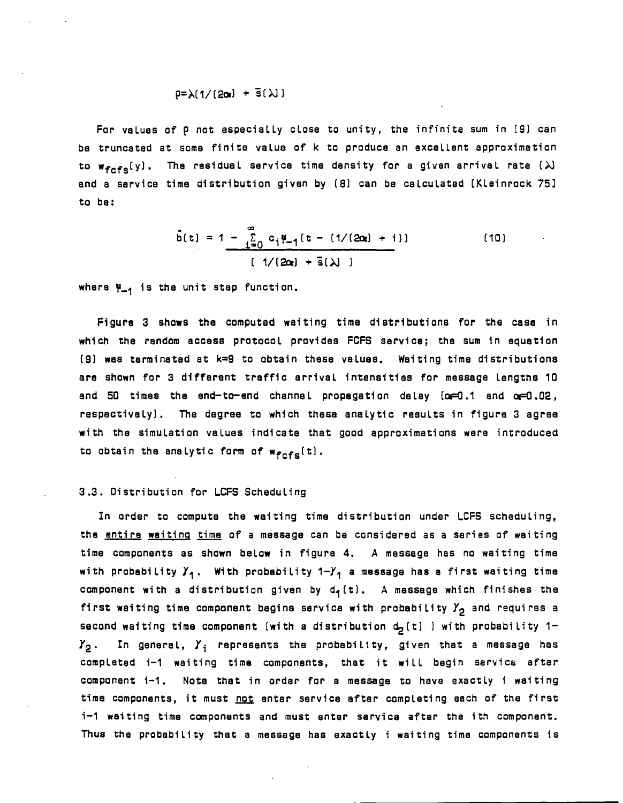$$
p = \lambda \left( \frac{1}{2\alpha} \right) + \bar{s}(\lambda)
$$

For values of p not aspecially close to unity, the infinite sum in (9) can be truncated at some finite value of k to produce an excellent approximetion to  $w_{\text{fcfs}}(y)$ . The residual service time density for a given arrival rate ( $\lambda$ ) end a service time distribution given by (8) can be calculated (Kleinrock 75] to be:

$$
\hat{b}(t) = 1 - \sum_{i=0}^{\infty} c_i \mu_{-1}(t - (1/(2\alpha_i) + i))
$$
 (10)

where  $\Psi_{-1}$  is the unit stap function.

Figure 3 shows the computed waiting time distributions for the case in which the random access protocol provides FCFS service; the sum in equation (91 was terminated at k=9 to obtain these values. Waiting time distributions are shown for 3 different traffic arrival intensities for message lengtha 10 and 50 times the end-to-end channal propagation delay  $(\alpha=0.1$  and  $\alpha=0.02$ , respectively). The degree to which these analytic results in figure 3 agree with the simulation values indicate that good approximations were introduced to obtain the analytic form of  $w_{fcfs}(t)$ .

#### 3.3. Oiatribution for LCFS Scheduling·

In order to computa the waiting time distribution under LCFS scheduling, the entire waiting time of a message can be considered as a series of waiting time components as shown below in figure 4. A message has no waiting time with probability  $Y_1$ . With probability  $1-Y_1$  a message has a first waiting time component with a distribution given by  $d_4(t)$ . A message which finishes the first waiting time component begins service with probability  $Y_2$  and requires a second waiting time component (with a distribution  $d_2(t)$  ) with probability 1- $\boldsymbol{\mathit{Y}_2}$ . In general,  $\boldsymbol{\mathit{Y}_i}$  represents the probability, given that a message has completed i-1 waiting time components, that it will begin service; after component i-1. Note that in order for a message to have exactly i waiting time components, it must not enter service after completing each of the first i-1 waiting time components and must enter service after the ith component. Thus the probability that a message has exactly i waiting time components is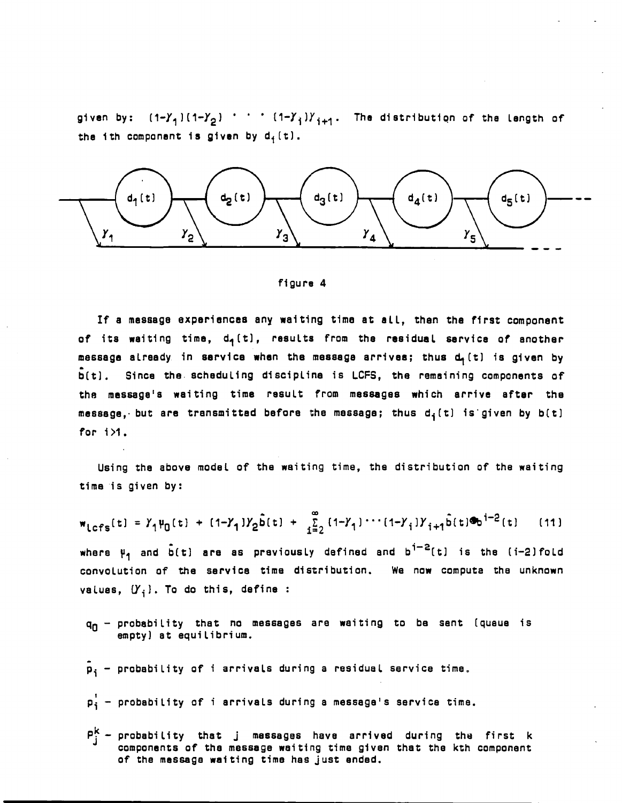given by:  $(1-\gamma_1)(1-\gamma_2)$  ' '  $(1-\gamma_1)\gamma_{1+1}$ . The distribution of the Length of the ith component is given by  $d_i(t)$ .



#### figure 4

If a message experiences any waiting time at all, then the first component of its waiting time,  $d_1(t)$ , results from the residual service of another message already in service when the message arrives; thus  $d_1(t)$  is given by  $\bar{b}(t)$ . Since the scheduling discipline is LCFS, the remaining components of the message's waiting time result from messages which arrive after the message, but are transmitted before the message; thus  $d_i(t)$  is given by  $b(t)$ for 1>1.

Using the above model of the waiting time, the distribution of the waiting time is given by:

$$
w_{\text{Lefs}}(t) = Y_1 \psi_0(t) + (1 - Y_1)Y_2 \tilde{b}(t) + \sum_{i=2}^{\infty} (1 - Y_1) \cdots (1 - Y_i)Y_{i+1} \tilde{b}(t) \Phi_0^{i-2}(t)
$$
 (11)  
where  $\psi_1$  and  $\tilde{b}(t)$  are as previously defined and  $b^{i-2}(t)$  is the (i-2)fold  
convolution of the service time distribution. We now compute the unknown  
values,  $(Y_i)$ . To do this, define :

- $q_0$  probability that no messages are waiting to be sent (queue is empty) at equilibrium.
- $\bar{p}_i$  probability of i arrivals during a residual service time.
- ,  $\rho_1^+$  - probability of i arrivals during a message's service time.
- $P_i^k$  probability that j messages have arrived during the first k components of tha message waiting time given that the kth component of the message waiting time has just ended.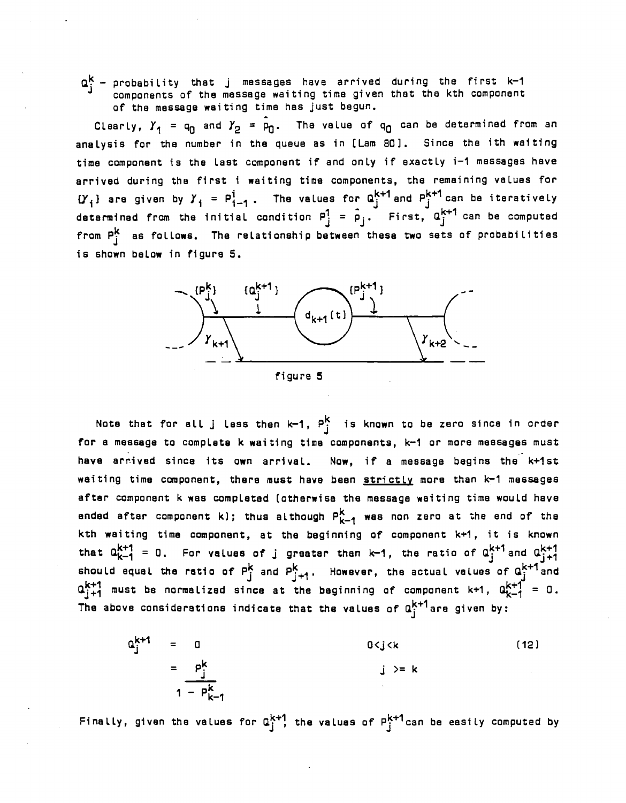$\mathtt{Q}_\text{i}^\textsf{k}$  - probability that j messages have arrived during the first k-1 J components of the message weiting time given thet the kth component

of the message waiting time has just begun.<br>Clearly,  $Y_1 = q_0$  and  $Y_2 = \hat{p}_0$ . The value of  $q_0$  can be determined from an anaLysis for tha number in the queue as in (Lam 80]. Since the ith weiting time component is the last component if and onLy if exactLy i-1 messages have arrived during the first i waiting time components, the remaining values for  ${Y}_i$ } are given by  ${Y}_i$  =  $P_{i-1}^i$ . The values for  $a_i^{k+1}$  and  $P_i^{k+1}$  can be iteratively determined from the initial condition  $P_j^1 = \hat{P}_j$ . First,  $\alpha_j^{k+1}$  can be computed from  $P_i^k$  as follows. The relationship between these two sets of probabilities is shown below in figure 5.



Note that for all j less then k-1,  $P_i^k$  is known to be zero since in order for a message to complete k waiting time components, k-1 or more messages must ." have arr.ived since its own arrivaL. Now, if a message begins the k+1st waiting time component, there must have been strictly more than k-1 messages after component k was compLated (otherwise the message weiting time would have ended after component k); thus although  $P_{k-1}^k$  wes non zero at the end of the kth weiting time component, at the beginning of component k+1, it is known that  $a_{k-1}^{k+1} = 0$ . For values of j greeter than  $k-1$ , the ratio of  $a_{j}^{k+1}$  and  $a_{j+1}^{k+1}$ should equal the ratio of  $P_j^k$  and  $P_{j+1}^k$ . However, the actual values of  $Q_j^{k+1}$  and  $a_{j+1}^{k+1}$  must be normalized since at the beginning of component k+1,  $a_{k-1}^{k+1} = 0$ . The above considerations indicate that the values of  $a_i^{k+1}$  are given by:

$$
a_j^{k+1} = 0
$$
  
\n
$$
= \frac{p_j^k}{1 - p_{k-1}^k}
$$
  
\n
$$
(12)
$$
  
\n
$$
j >= k
$$
  
\n(12)

Finally, given the values for  $a^{k+1}_j$  the values of  $P^{k+1}_j$  can be easily computed by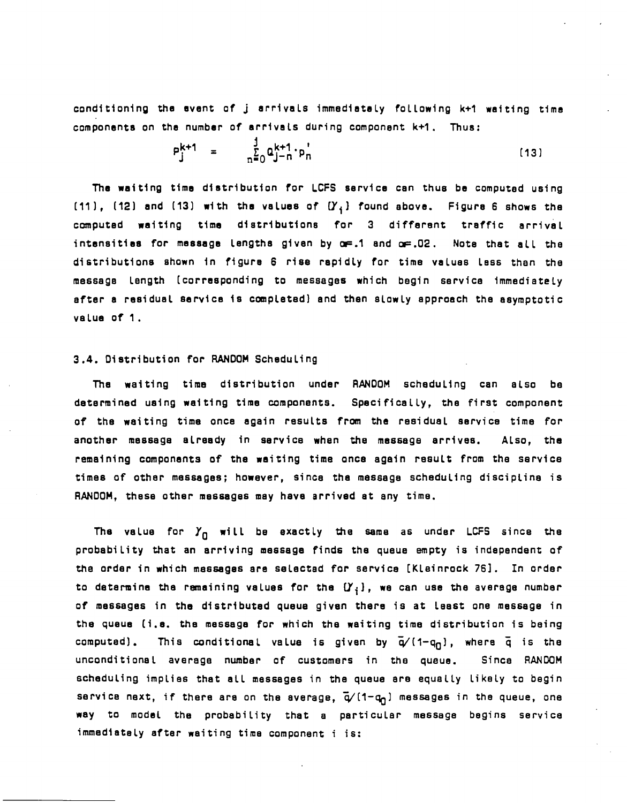conditioning the event of j arrivals immediately following k+1 waiting time components on the number of arrivals during component k+1. Thus:

$$
P_j^{k+1} = \frac{1}{n^2} Q_{j-n}^{k+1} \cdot p_n^{k}
$$
 (13)

The waiting time distribution for LCFS service can thus be computed using (11), (12) and (13) with the values of  $(Y_i)$  found above. Figure 6 shows the computed waiting time distributions for 3 different traffic arrival intensities for message lengths given by  $\alpha = .1$  and  $\alpha = .02$ . Note that all the distributions shown in figura 6 rise repidly for time values lass then the message length (corresponding to messages which begin service immediately after a residual service is completad) and then slowly epproech the esymptotic value of 1.

#### 3.4. Distribution for RANDOM Scheduling

The waiting time distribution under RANDOM scheduling can also be determined using weiting time components. Specifically, the first component of the waiting time onca egain results from the residual service time for another mes6age alreedy in service when the message arrives. Also, the remaining components of the waiting time once again result from the service times of other messages; however, since the message scheduling discipline is RANDOM, these other messages may have arrived at any tima.

The value for  $Y_{\Pi}$  will be exactly the same as under LCFS since the probability that an arriving message finds the queue empty is independent of the order in which messages are selected for service [Kleinrock 76]. In order to determine the ramaining values for the  $(Y_i)$ , we can use the average number of messages in the distributed queue given there is at least one message in the queue (i.e. the me6sage for which the waiting time distribution is being computed). This conditional value is given by  $\bar{q}/(1-q_0)$ , where  $\bar{q}$  is the unconditional average number of customers in the queue. Since RANDOM scheduling implies that all messages in the queue are equally likely to begin service next, if there are on the average,  $\vec{q}/(1-q_1)$  messages in the queue, one way to model the probability that a particular message begins service immediately after waiting time component i is: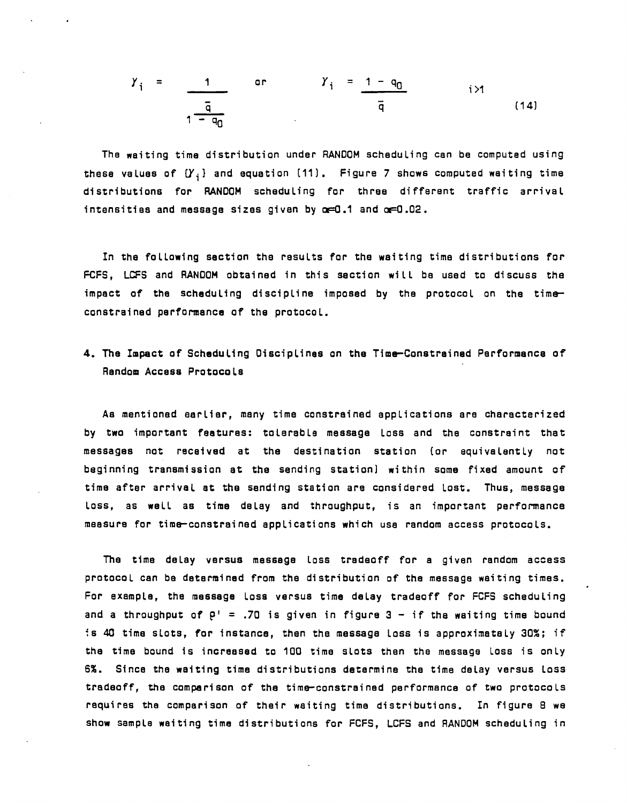$$
Y_{i} = \frac{1}{\frac{\bar{q}}{1 - q_{0}}}
$$
 or 
$$
Y_{i} = \frac{1 - q_{0}}{\bar{q}}
$$
 i > 1 (14)

The waiting time distribution under RANDOM scheduLing can be computed using these values of  $(Y_i)$  and equation (11). Figure 7 shows computed waiting time distributions for RANDOM scheduLing for three different traffic arrivaL intensities and message sizes given by  $\alpha=0.1$  and  $\alpha=0.02$ .

In the following section the results for the waiting time distributions for FCFS, LCFS and RANDOM obtained in this section wilL be used to discuss the impact of the scheduling discipline imposed by the protocol on the time constrained performance of the protocol.

## 4. The Impact of Scheduling Disciplines on the Time-Constreined Performence of Random Accass Protocols

As mentioned eerlier, many time constrained applications are characterized by two important features: to lerable message loss and the constraint that messages not received at the destination station (or equivalently not beginning tranamission at the sending station) within some fixed amount of time after arrival at the sending station are considered lost. Thus, message loss, as well as time delay and throughput, is an important performance meesure for time-constrained applications which use random access protocols.

The time delay versus message loss tradeoff for a given rendom access protocol can be determined from the distribution of the message waiting times. For example, the message loss versus time delay tradeoff for FCFS scheduling and a throughput of  $P^1$  = .70 is given in figure 3 - if the waiting time bound  $\overline{\phantom{a}}$  is 40 time slots, for instance, then the message loss is approximately 30%; if tha time bound is increesed to 100 time slots then the message Loss is only 6%. Since the waiting time distributions determine the time delay versus loss tradeoff, the comparison of the time-constrained performance of two protocoLs requires the comparison of their waiting time distributions. In figure 8 we show sample waiting time distributions for FCFS, LCFS and RANDOM scheduling in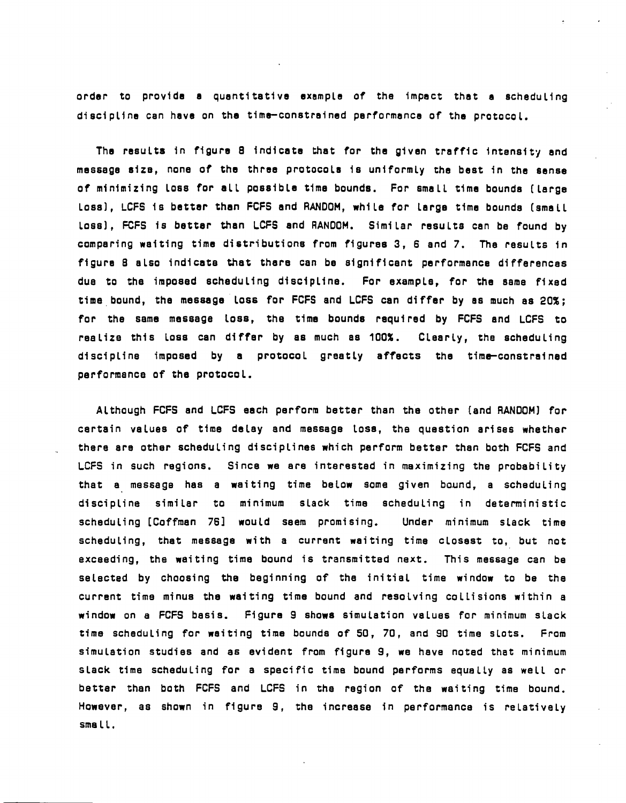order to provide a quantitative exampLe of the impect that a scheduling discipLine can have on the time-constrained performance of tha protocol.

The results in figure 8 indicate that for the given treffic intensity and message Size, none of the three protocols is uniformly the best in the sense of minimizing loss for ell possible time bounds. For small time bounds (large loss), LCFS is bettar than FCFS and RANDOM, while for lerge time bounds (small loss), FCFS is better than LCFS and RANDOM. Similar results can be found by comparing waiting time distributions from figures 3, 6 and 7. The results in figure 8 slso indicats that thare can be significant performance differencas due to the imposed scheduling disciplfne. For example, for the ssme fixed time bound, the message loss for FCFS and LCFS can differ by as much as 20%; for the same message loss, the time bounds required by FCFS and LCFS to realize this loss can differ by as much ss 100%. Clearly, the scheduling discipline imposed by e protocol greatly affects the time-constrained performence of the protocol.

Although FCFS and LCFS each perform better than the other (and RANDOM) for certain values of time delay and message loss, the question arises whether there are other scheduling disciplines which perform better than both FCFS and LCFS in such regions. Since we are interested in maximizing the probability that a message has a waiting time below some given bound, a scheduling discipline similar to minimum slack time scheduling in deterministic scheduling [Coffman 76] would seem promising. Under minimum slack time scheduling, that message with a current waiting time closest to, but not exceeding, the waiting time bound is transmitted naxt. This message can be selected by choosing the beginning of the initial time window to be the current time minus the waiting time bound and resolving collisions within a window on a FCFS basis. Figura 9 shows simulation values for minimum slack time scheduling for weiting time bounds of SO, 70, and 90 time slots. From simulation studies and as evident from figure 9, we have noted that minimum slack time scheduling for a specific time bound performs equally as well or better than both FCFS and LCFS in the region of the waiting time bound. However, as shown in figure 9, the increase in performance is relatively sma ll.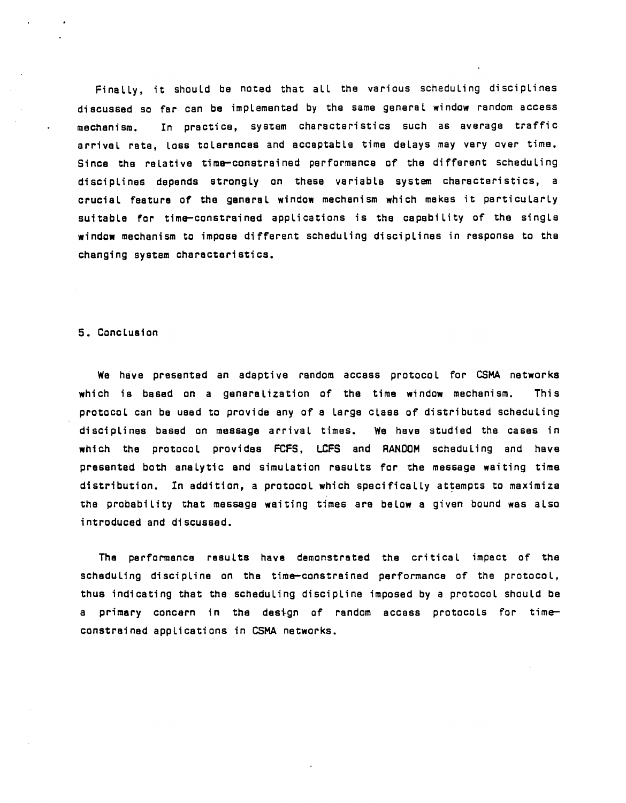Finally, it should be noted that all the various scheduling disciplines discussed so far can be implemented by the same general window random access mechanism. In practice, system characteristics such as average traffic arrival rata, loss tolerances and acceptable time delays may vary over time. Since the relative time-constrained performance of the different scheduling discipLines depends strongLy an thesa variabLe system characteristics, a crucial faatura of the generaL window mechanism which makas it particularLy suitabLe for time-constrained applications is the capability of the singLa window mechanism to impose different schaduling discipLines in response to the changing system charactaristics.

#### 5. Conclusion

We have presented an adaptive random access protocol for CSMA networks which is based on a generalization of the time window mechanism. This protocoL can be used to provide any of a Large cLass of distributed scheduLing disciplines based on message arrivaL times. We have studied the cases in which the protocol provides FCFS, LCFS and RANDOM scheduLing and have presentad both analytic and simuLation resuLts for the message waiting time distribution. In addition, a protocol which specifically attempts to maximize the probability that message waiting times ara beLow a given bound was aLso introduced and discussed.

The performance results have demonstrated the critical impact of the scheduling discipLine on the time-constrainad performance of tha protocoL, thus indicating that the scheduling discipline imposed by a protocol should be a primary concern in the design of random accass protocols for time constrained appLications in CSMA networks.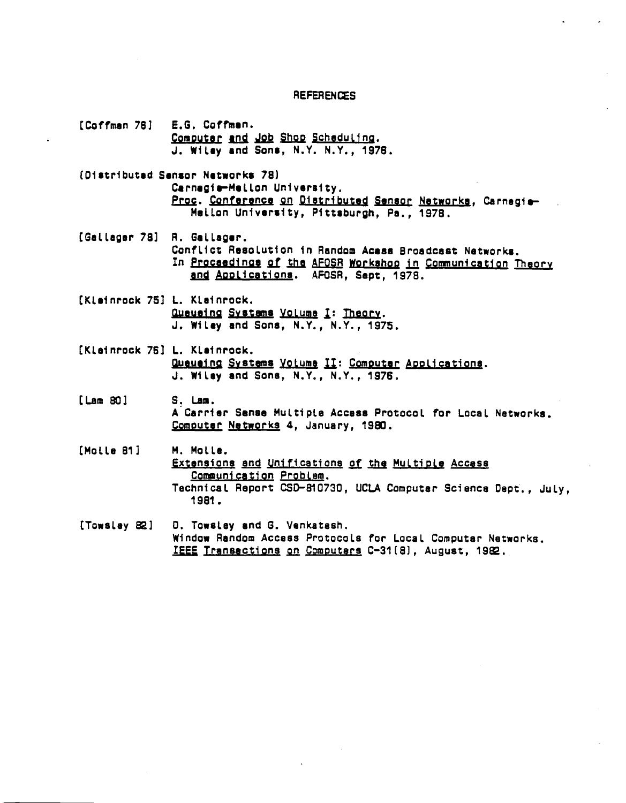#### **REFERENCES**

- [Coffman 78] E.G. Coffman. Computer and Job Shop Scheduling. J. Wilay and Sons, N.Y. N.Y., 1976. (Distributed Sansor Natworks 78) Carnagia-Mallon University, Proc. Conference on Distributed Sensor Networks, Carnegia-Mellon University, Pittsburgh, Pa., 1978. [Gallager 78] R. Gallager. Conflict Resolution in Random Acess Broadcast Networks. In Proceedings of the AFOSR Workshop in Communication Theory and Applications. AFOSR, Sept. 1978. [Klainrock 75] L. Klainrock. Queueing Systems Volume I: Theory. J. Wiley and Sons, N.Y., N.Y., 1975. [Klainrock 76] L. Klainrock. Queueing Systems Volume II: Computer Applications. J. Wilsy and Sons, N.Y., N.Y., 1976.  $Lam$  80 $l$ S. Lam. A Carrier Sense Multiple Access Protocol for Local Networks. Computer Networks 4, January, 1980. [Molle 81] M. Molle. Extensions and Unifications of the Multiple Access Communication Problem. Technical Report CSD-810730, UCLA Computer Science Dept., July. 1981. D. Towstev and G. Venkatash. [Towslev 82]
- Window Random Accass Protocols for Local Computar Natworks. IEEE Transactions on Computers C-31(8), August, 1982.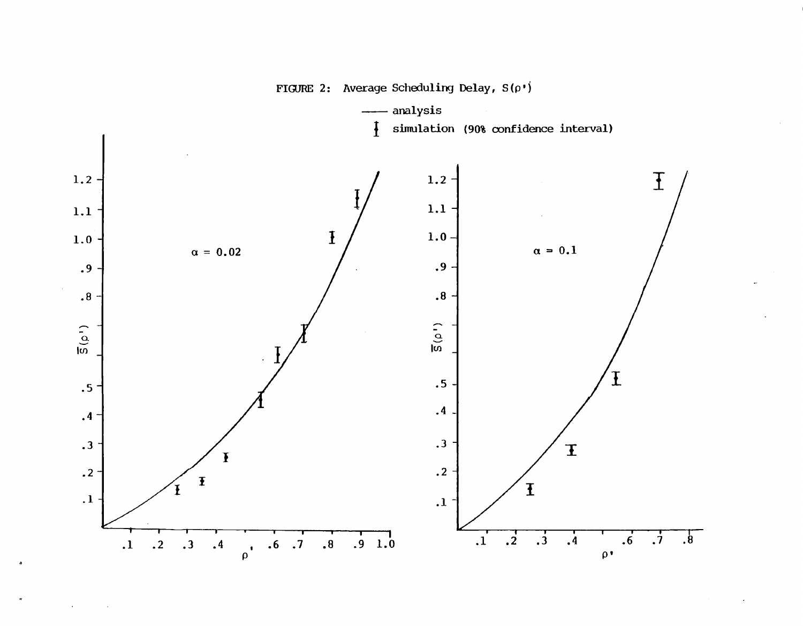

FIGURE 2: Average Scheduling Delay,  $S(\rho^*)$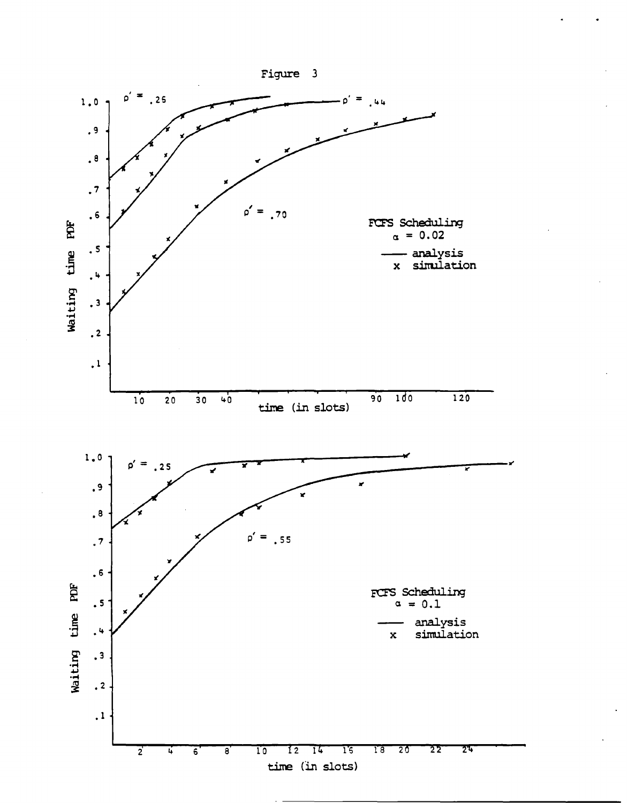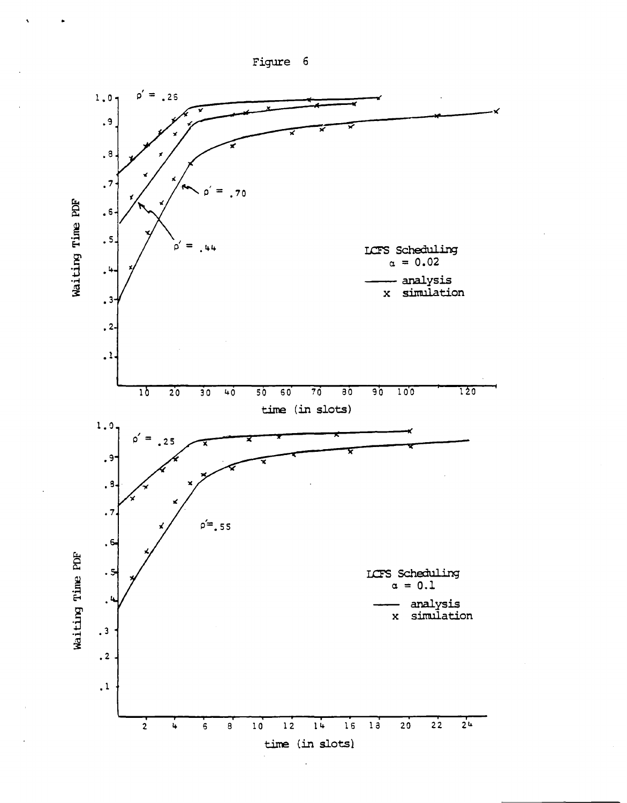

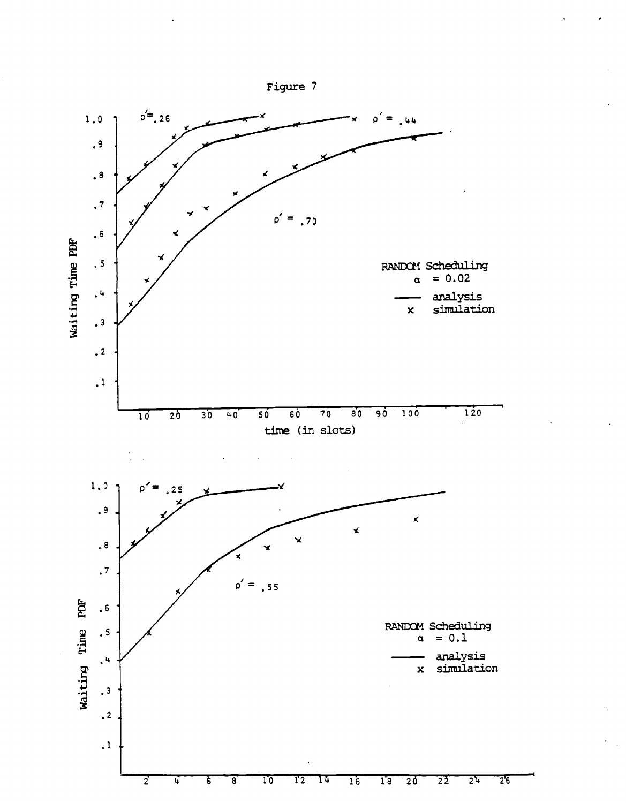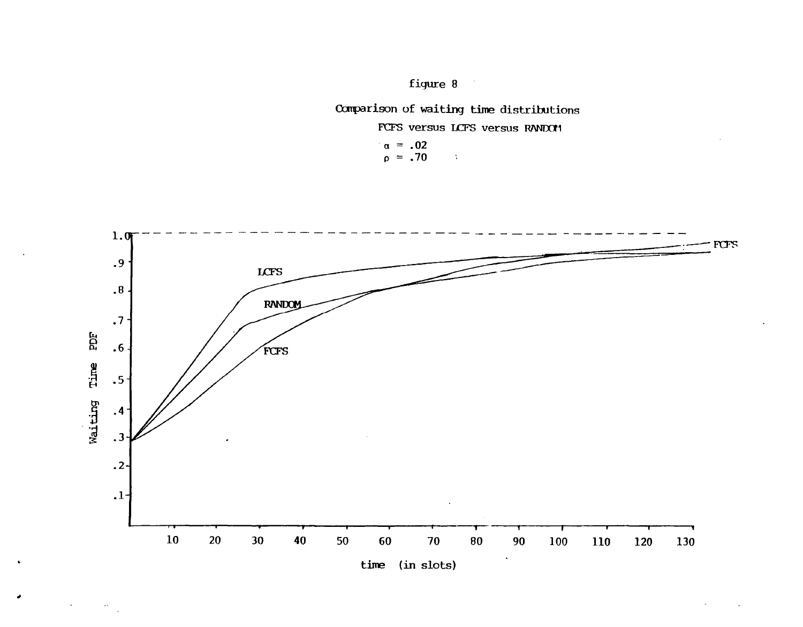figure 8

# Comparison of waiting time distributions

 $\Delta$ 

FCFS versus LCFS versus RANDOM

 $\alpha = .02$ <br>07. =  $\alpha$ 



 $\left\langle \omega^{\mu}\right\rangle _{2}$ 

 $\downarrow$